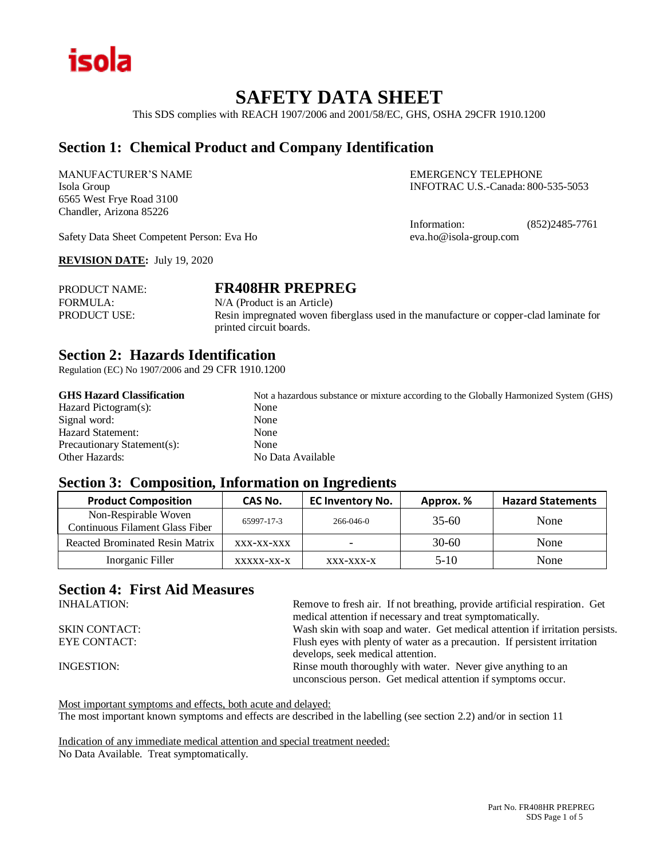

# **SAFETY DATA SHEET**

This SDS complies with REACH 1907/2006 and 2001/58/EC, GHS, OSHA 29CFR 1910.1200

## **Section 1: Chemical Product and Company Identification**

MANUFACTURER'S NAME EMERGENCY TELEPHONE 6565 West Frye Road 3100 Chandler, Arizona 85226

Isola Group INFOTRAC U.S.-Canada: 800-535-5053

Information: (852)2485-7761

Safety Data Sheet Competent Person: Eva Ho eva.ho@isola-group.com

**REVISION DATE:** July 19, 2020

PRODUCT NAME: **FR408HR PREPREG** FORMULA: N/A (Product is an Article) PRODUCT USE:<br>Resin impregnated woven fiberglass used in the manufacture or copper-clad laminate for printed circuit boards.

## **Section 2: Hazards Identification**

Regulation (EC) No 1907/2006 and 29 CFR 1910.1200

| <b>GHS Hazard Classification</b> | Not a hazardous substance or mixture according to the Globally Harmonized System (GHS) |
|----------------------------------|----------------------------------------------------------------------------------------|
| Hazard Pictogram(s):             | None                                                                                   |
| Signal word:                     | None                                                                                   |
| Hazard Statement:                | None                                                                                   |
| Precautionary Statement(s):      | None                                                                                   |
| <b>Other Hazards:</b>            | No Data Available                                                                      |

### **Section 3: Composition, Information on Ingredients**

| <b>Product Composition</b>                              | CAS No.    | <b>EC Inventory No.</b> | Approx. % | <b>Hazard Statements</b> |
|---------------------------------------------------------|------------|-------------------------|-----------|--------------------------|
| Non-Respirable Woven<br>Continuous Filament Glass Fiber | 65997-17-3 | 266-046-0               | $35 - 60$ | None                     |
| <b>Reacted Brominated Resin Matrix</b>                  | XXX-XX-XXX |                         | $30-60$   | None                     |
| Inorganic Filler                                        | XXXXX-XX-X | XXX-XXX-X               | $5-10$    | None                     |

## **Section 4: First Aid Measures**

| Remove to fresh air. If not breathing, provide artificial respiration. Get<br>medical attention if necessary and treat symptomatically. |
|-----------------------------------------------------------------------------------------------------------------------------------------|
| Wash skin with soap and water. Get medical attention if irritation persists.                                                            |
| Flush eyes with plenty of water as a precaution. If persistent irritation                                                               |
| develops, seek medical attention.                                                                                                       |
| Rinse mouth thoroughly with water. Never give anything to an<br>unconscious person. Get medical attention if symptoms occur.            |
|                                                                                                                                         |

Most important symptoms and effects, both acute and delayed: The most important known symptoms and effects are described in the labelling (see section 2.2) and/or in section 11

Indication of any immediate medical attention and special treatment needed: No Data Available. Treat symptomatically.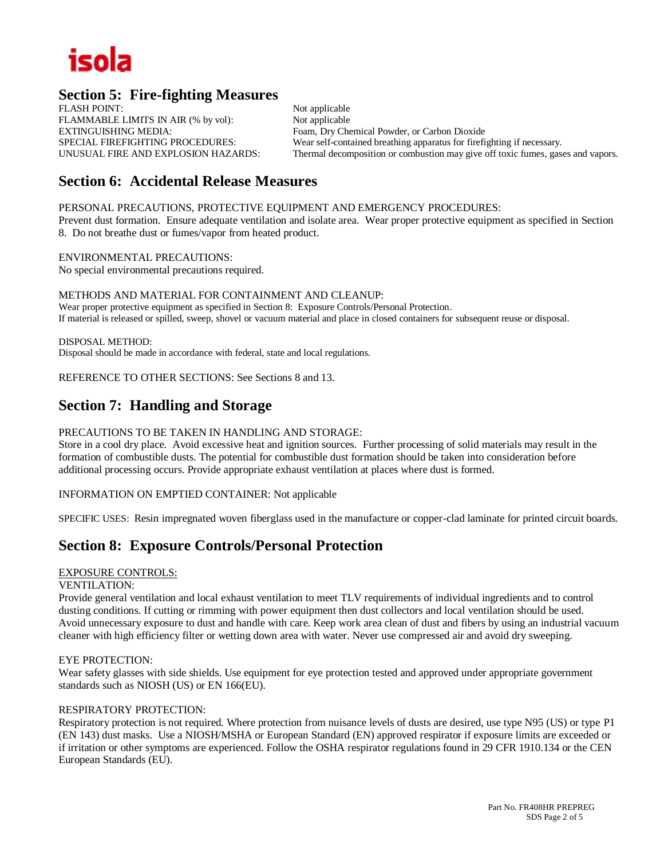# isola

## **Section 5: Fire-fighting Measures**

FLASH POINT: Not applicable FLAMMABLE LIMITS IN AIR (% by vol): Not applicable EXTINGUISHING MEDIA: Foam, Dry Chemical Powder, or Carbon Dioxide

SPECIAL FIREFIGHTING PROCEDURES: Wear self-contained breathing apparatus for firefighting if necessary. UNUSUAL FIRE AND EXPLOSION HAZARDS: Thermal decomposition or combustion may give off toxic fumes, gases and vapors.

# **Section 6: Accidental Release Measures**

PERSONAL PRECAUTIONS, PROTECTIVE EQUIPMENT AND EMERGENCY PROCEDURES:

Prevent dust formation. Ensure adequate ventilation and isolate area. Wear proper protective equipment as specified in Section 8. Do not breathe dust or fumes/vapor from heated product.

ENVIRONMENTAL PRECAUTIONS: No special environmental precautions required.

METHODS AND MATERIAL FOR CONTAINMENT AND CLEANUP: Wear proper protective equipment as specified in Section 8: Exposure Controls/Personal Protection. If material is released or spilled, sweep, shovel or vacuum material and place in closed containers for subsequent reuse or disposal.

DISPOSAL METHOD: Disposal should be made in accordance with federal, state and local regulations.

REFERENCE TO OTHER SECTIONS: See Sections 8 and 13.

## **Section 7: Handling and Storage**

#### PRECAUTIONS TO BE TAKEN IN HANDLING AND STORAGE:

Store in a cool dry place. Avoid excessive heat and ignition sources. Further processing of solid materials may result in the formation of combustible dusts. The potential for combustible dust formation should be taken into consideration before additional processing occurs. Provide appropriate exhaust ventilation at places where dust is formed.

#### INFORMATION ON EMPTIED CONTAINER: Not applicable

SPECIFIC USES: Resin impregnated woven fiberglass used in the manufacture or copper-clad laminate for printed circuit boards.

## **Section 8: Exposure Controls/Personal Protection**

#### EXPOSURE CONTROLS:

#### VENTILATION:

Provide general ventilation and local exhaust ventilation to meet TLV requirements of individual ingredients and to control dusting conditions. If cutting or rimming with power equipment then dust collectors and local ventilation should be used. Avoid unnecessary exposure to dust and handle with care. Keep work area clean of dust and fibers by using an industrial vacuum cleaner with high efficiency filter or wetting down area with water. Never use compressed air and avoid dry sweeping.

#### EYE PROTECTION:

Wear safety glasses with side shields. Use equipment for eye protection tested and approved under appropriate government standards such as NIOSH (US) or EN 166(EU).

#### RESPIRATORY PROTECTION:

Respiratory protection is not required. Where protection from nuisance levels of dusts are desired, use type N95 (US) or type P1 (EN 143) dust masks. Use a NIOSH/MSHA or European Standard (EN) approved respirator if exposure limits are exceeded or if irritation or other symptoms are experienced. Follow the OSHA respirator regulations found in 29 CFR 1910.134 or the CEN European Standards (EU).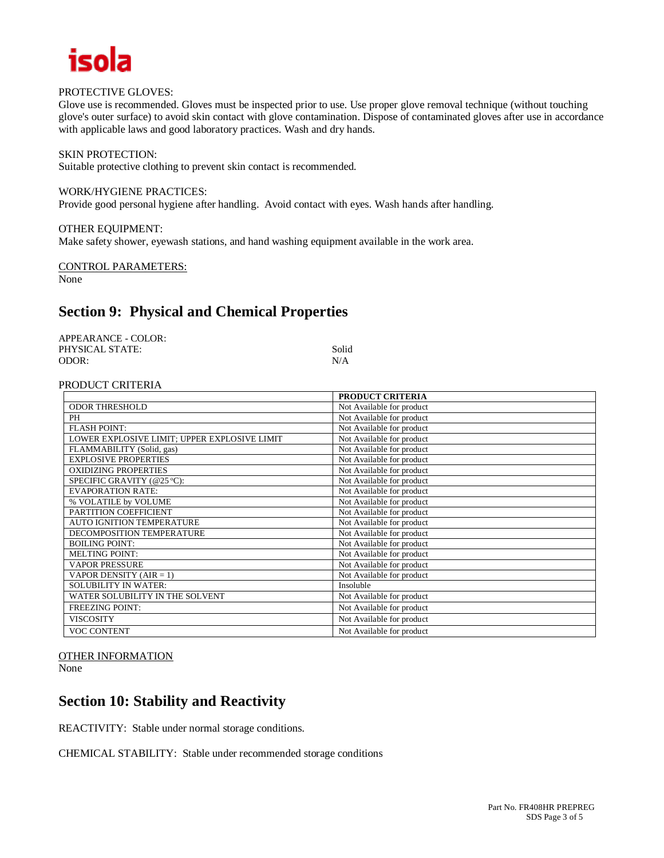

#### PROTECTIVE GLOVES:

Glove use is recommended. Gloves must be inspected prior to use. Use proper glove removal technique (without touching glove's outer surface) to avoid skin contact with glove contamination. Dispose of contaminated gloves after use in accordance with applicable laws and good laboratory practices. Wash and dry hands.

#### SKIN PROTECTION:

Suitable protective clothing to prevent skin contact is recommended.

#### WORK/HYGIENE PRACTICES:

Provide good personal hygiene after handling. Avoid contact with eyes. Wash hands after handling.

#### OTHER EQUIPMENT:

Make safety shower, eyewash stations, and hand washing equipment available in the work area.

#### CONTROL PARAMETERS:

None

# **Section 9: Physical and Chemical Properties**

| APPEARANCE - COLOR: |       |
|---------------------|-------|
| PHYSICAL STATE:     | Solid |
| ODOR:               | N/A   |

#### PRODUCT CRITERIA

|                                              | PRODUCT CRITERIA          |
|----------------------------------------------|---------------------------|
| <b>ODOR THRESHOLD</b>                        | Not Available for product |
| PH                                           | Not Available for product |
| <b>FLASH POINT:</b>                          | Not Available for product |
| LOWER EXPLOSIVE LIMIT; UPPER EXPLOSIVE LIMIT | Not Available for product |
| FLAMMABILITY (Solid, gas)                    | Not Available for product |
| <b>EXPLOSIVE PROPERTIES</b>                  | Not Available for product |
| <b>OXIDIZING PROPERTIES</b>                  | Not Available for product |
| SPECIFIC GRAVITY (@25 °C):                   | Not Available for product |
| <b>EVAPORATION RATE:</b>                     | Not Available for product |
| % VOLATILE by VOLUME                         | Not Available for product |
| PARTITION COEFFICIENT                        | Not Available for product |
| <b>AUTO IGNITION TEMPERATURE</b>             | Not Available for product |
| DECOMPOSITION TEMPERATURE                    | Not Available for product |
| <b>BOILING POINT:</b>                        | Not Available for product |
| <b>MELTING POINT:</b>                        | Not Available for product |
| <b>VAPOR PRESSURE</b>                        | Not Available for product |
| VAPOR DENSITY $(AIR = 1)$                    | Not Available for product |
| <b>SOLUBILITY IN WATER:</b>                  | Insoluble                 |
| WATER SOLUBILITY IN THE SOLVENT              | Not Available for product |
| <b>FREEZING POINT:</b>                       | Not Available for product |
| <b>VISCOSITY</b>                             | Not Available for product |
| <b>VOC CONTENT</b>                           | Not Available for product |

## OTHER INFORMATION

None

# **Section 10: Stability and Reactivity**

REACTIVITY: Stable under normal storage conditions.

CHEMICAL STABILITY: Stable under recommended storage conditions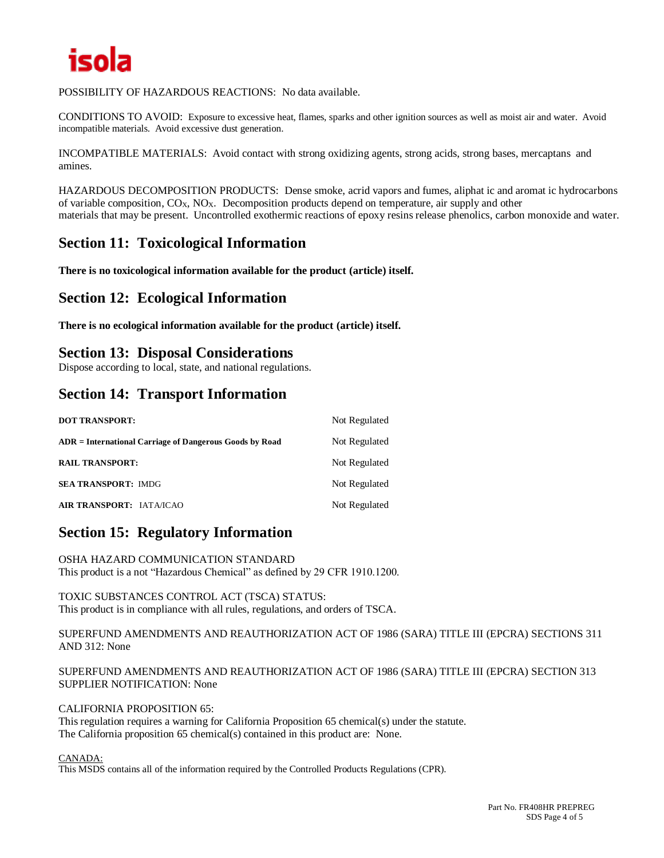

#### POSSIBILITY OF HAZARDOUS REACTIONS: No data available.

CONDITIONS TO AVOID: Exposure to excessive heat, flames, sparks and other ignition sources as well as moist air and water. Avoid incompatible materials. Avoid excessive dust generation.

INCOMPATIBLE MATERIALS: Avoid contact with strong oxidizing agents, strong acids, strong bases, mercaptans and amines.

HAZARDOUS DECOMPOSITION PRODUCTS: Dense smoke, acrid vapors and fumes, aliphat ic and aromat ic hydrocarbons of variable composition,  $CO_X$ ,  $NO_X$ . Decomposition products depend on temperature, air supply and other materials that may be present. Uncontrolled exothermic reactions of epoxy resins release phenolics, carbon monoxide and water.

## **Section 11: Toxicological Information**

**There is no toxicological information available for the product (article) itself.**

## **Section 12: Ecological Information**

**There is no ecological information available for the product (article) itself.**

## **Section 13: Disposal Considerations**

Dispose according to local, state, and national regulations.

## **Section 14: Transport Information**

| <b>DOT TRANSPORT:</b>                                   | Not Regulated |
|---------------------------------------------------------|---------------|
| ADR = International Carriage of Dangerous Goods by Road | Not Regulated |
| <b>RAIL TRANSPORT:</b>                                  | Not Regulated |
| <b>SEA TRANSPORT: IMDG</b>                              | Not Regulated |
| AIR TRANSPORT: IATA/ICAO                                | Not Regulated |

## **Section 15: Regulatory Information**

OSHA HAZARD COMMUNICATION STANDARD This product is a not "Hazardous Chemical" as defined by 29 CFR 1910.1200.

TOXIC SUBSTANCES CONTROL ACT (TSCA) STATUS: This product is in compliance with all rules, regulations, and orders of TSCA.

SUPERFUND AMENDMENTS AND REAUTHORIZATION ACT OF 1986 (SARA) TITLE III (EPCRA) SECTIONS 311 AND 312: None

SUPERFUND AMENDMENTS AND REAUTHORIZATION ACT OF 1986 (SARA) TITLE III (EPCRA) SECTION 313 SUPPLIER NOTIFICATION: None

#### CALIFORNIA PROPOSITION 65:

This regulation requires a warning for California Proposition 65 chemical(s) under the statute. The California proposition 65 chemical(s) contained in this product are: None.

#### CANADA:

This MSDS contains all of the information required by the Controlled Products Regulations (CPR).